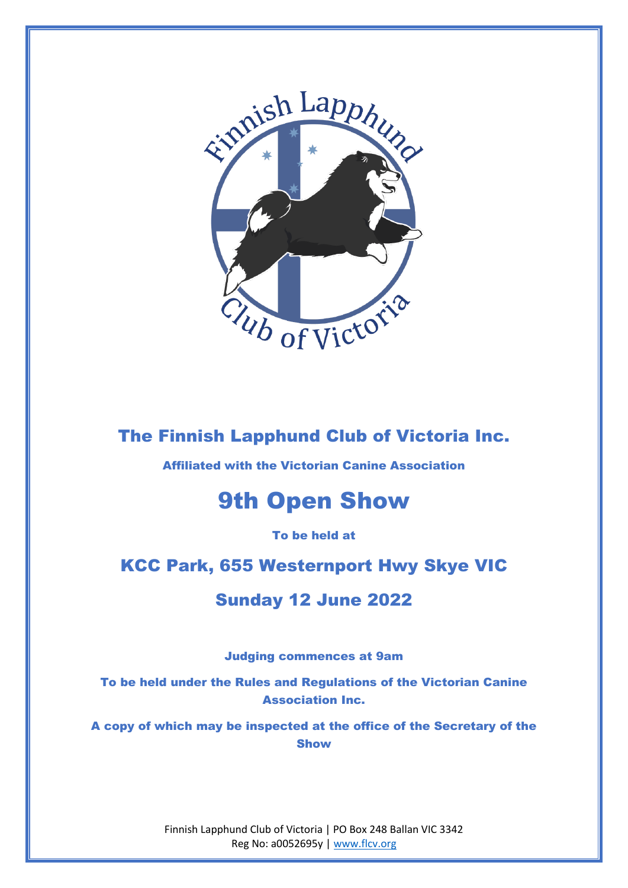

## The Finnish Lapphund Club of Victoria Inc.

Affiliated with the Victorian Canine Association

# 9th Open Show

To be held at

## KCC Park, 655 Westernport Hwy Skye VIC

## Sunday 12 June 2022

Judging commences at 9am

To be held under the Rules and Regulations of the Victorian Canine Association Inc.

A copy of which may be inspected at the office of the Secretary of the Show

> Finnish Lapphund Club of Victoria | PO Box 248 Ballan VIC 3342 Reg No: a0052695y | www.flcv.org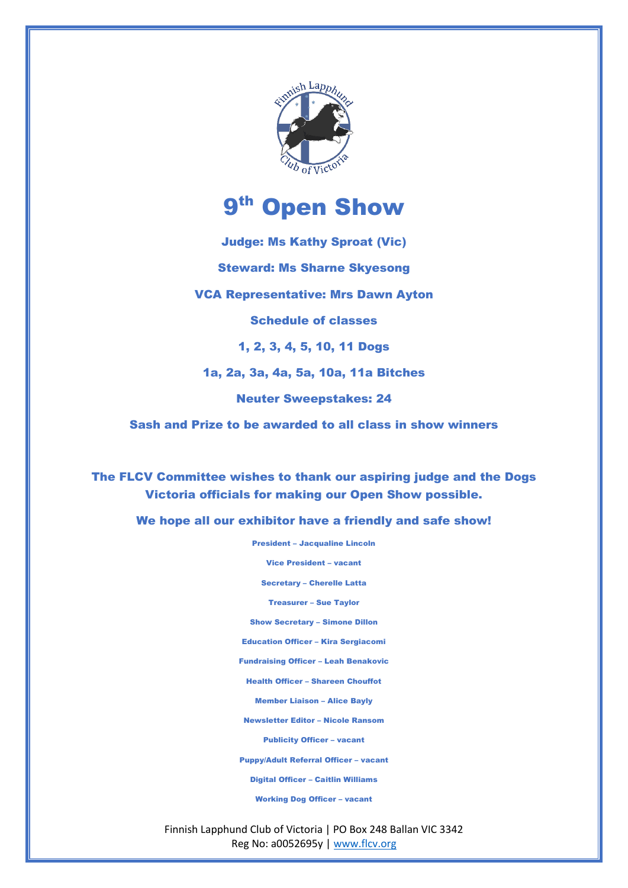

# 9<sup>th</sup> Open Show

Judge: Ms Kathy Sproat (Vic) Steward: Ms Sharne Skyesong VCA Representative: Mrs Dawn Ayton Schedule of classes 1, 2, 3, 4, 5, 10, 11 Dogs 1a, 2a, 3a, 4a, 5a, 10a, 11a Bitches Neuter Sweepstakes: 24 Sash and Prize to be awarded to all class in show winners

The FLCV Committee wishes to thank our aspiring judge and the Dogs Victoria officials for making our Open Show possible.

We hope all our exhibitor have a friendly and safe show!

President – Jacqualine Lincoln

Vice President – vacant

Secretary – Cherelle Latta

Treasurer – Sue Taylor

Show Secretary – Simone Dillon

Education Officer – Kira Sergiacomi

Fundraising Officer – Leah Benakovic

Health Officer – Shareen Chouffot

Member Liaison – Alice Bayly

Newsletter Editor – Nicole Ransom

Publicity Officer – vacant

Puppy/Adult Referral Officer – vacant

Digital Officer – Caitlin Williams

Working Dog Officer – vacant

Finnish Lapphund Club of Victoria | PO Box 248 Ballan VIC 3342 Reg No: a0052695y | www.flcv.org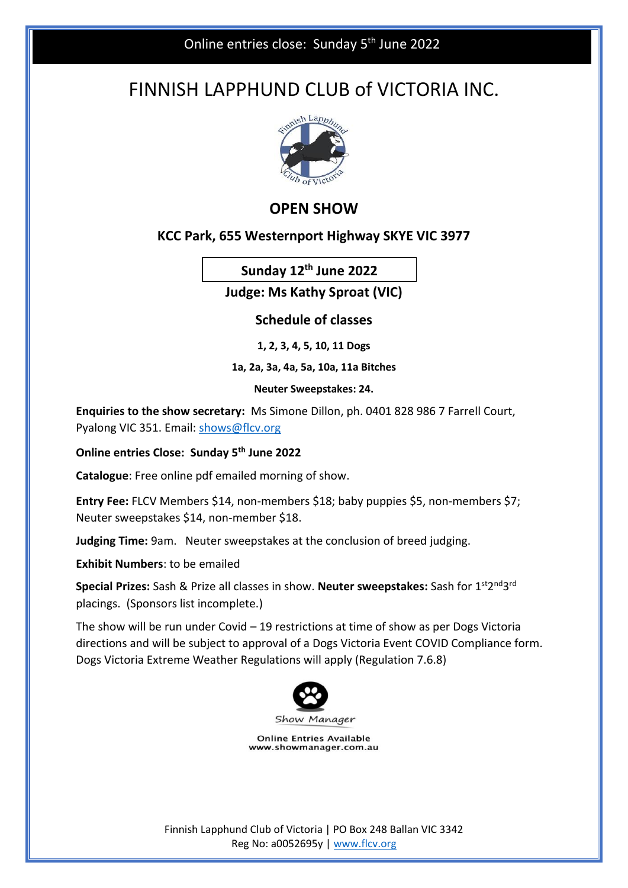# FINNISH LAPPHUND CLUB of VICTORIA INC.



### **OPEN SHOW**

#### **KCC Park, 655 Westernport Highway SKYE VIC 3977**

**Sunday 12th June 2022**

**Judge: Ms Kathy Sproat (VIC)**

**Schedule of classes**

**1, 2, 3, 4, 5, 10, 11 Dogs**

**1a, 2a, 3a, 4a, 5a, 10a, 11a Bitches**

**Neuter Sweepstakes: 24.**

**Enquiries to the show secretary:** Ms Simone Dillon, ph. 0401 828 986 7 Farrell Court, Pyalong VIC 351. Email: shows@flcv.org

**Online entries Close: Sunday 5th June 2022**

**Catalogue**: Free online pdf emailed morning of show.

**Entry Fee:** FLCV Members \$14, non-members \$18; baby puppies \$5, non-members \$7; Neuter sweepstakes \$14, non-member \$18.

**Judging Time:** 9am. Neuter sweepstakes at the conclusion of breed judging.

**Exhibit Numbers**: to be emailed

**Special Prizes:** Sash & Prize all classes in show. Neuter sweepstakes: Sash for 1<sup>st</sup>2<sup>nd</sup>3<sup>rd</sup> placings. (Sponsors list incomplete.)

The show will be run under Covid – 19 restrictions at time of show as per Dogs Victoria directions and will be subject to approval of a Dogs Victoria Event COVID Compliance form. Dogs Victoria Extreme Weather Regulations will apply (Regulation 7.6.8)



**Online Entries Available** www.showmanager.com.au

Finnish Lapphund Club of Victoria | PO Box 248 Ballan VIC 3342 Reg No: a0052695y | www.flcv.org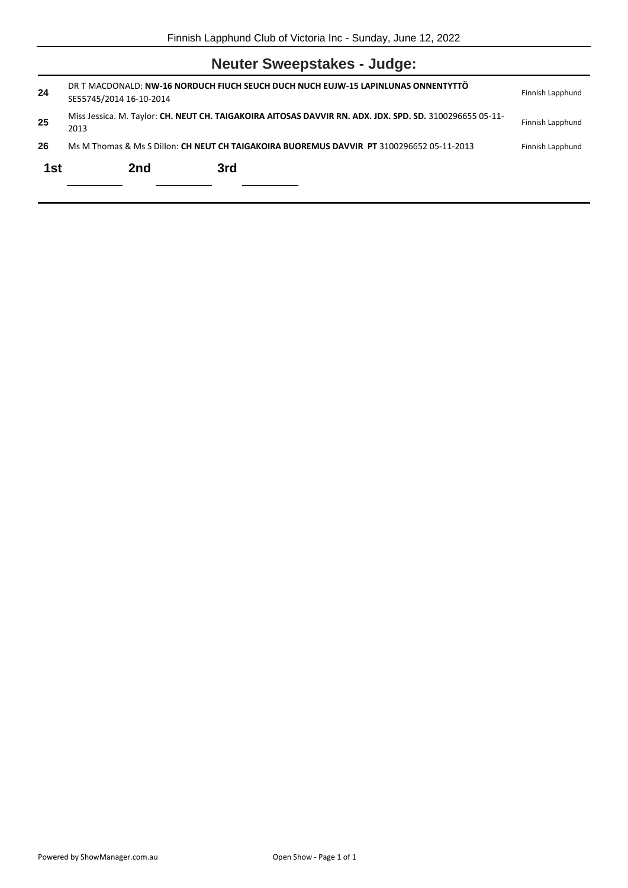## **Neuter Sweepstakes - Judge:**

| 24  | SE55745/2014 16-10-2014                                                                   | DR T MACDONALD: NW-16 NORDUCH FIUCH SEUCH DUCH NUCH EUJW-15 LAPINLUNAS ONNENTYTTÖ                        | Finnish Lapphund |
|-----|-------------------------------------------------------------------------------------------|----------------------------------------------------------------------------------------------------------|------------------|
| 25  | 2013                                                                                      | Miss Jessica. M. Taylor: CH. NEUT CH. TAIGAKOIRA AITOSAS DAVVIR RN. ADX. JDX. SPD. SD. 3100296655 05-11- | Finnish Lapphund |
| 26  | Ms M Thomas & Ms S Dillon: CH NEUT CH TAIGAKOIRA BUOREMUS DAVVIR PT 3100296652 05-11-2013 |                                                                                                          | Finnish Lapphund |
| 1st | 2nd                                                                                       | 3rd                                                                                                      |                  |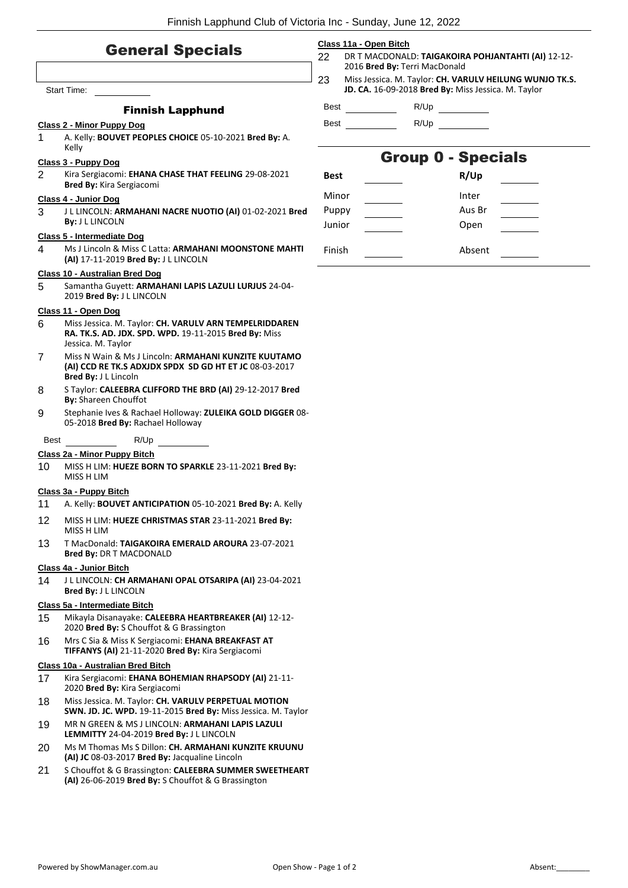#### General Specials

|      | <b>Start Time:</b>                                                                                                                     | 23          | Miss Jessi<br>JD. CA. 16 |
|------|----------------------------------------------------------------------------------------------------------------------------------------|-------------|--------------------------|
|      |                                                                                                                                        |             |                          |
|      | <b>Finnish Lapphund</b>                                                                                                                | Best        |                          |
|      | Class 2 - Minor Puppy Dog                                                                                                              | Best        |                          |
| 1    | A. Kelly: BOUVET PEOPLES CHOICE 05-10-2021 Bred By: A.<br>Kelly                                                                        |             |                          |
|      | Class 3 - Puppy Dog                                                                                                                    |             |                          |
| 2    | Kira Sergiacomi: EHANA CHASE THAT FEELING 29-08-2021                                                                                   | <b>Best</b> |                          |
|      | Bred By: Kira Sergiacomi                                                                                                               |             |                          |
|      | Class 4 - Junior Dog                                                                                                                   | Minor       |                          |
| 3    | J L LINCOLN: ARMAHANI NACRE NUOTIO (AI) 01-02-2021 Bred<br><b>By: JL LINCOLN</b>                                                       | Puppy       |                          |
|      | Class 5 - Intermediate Dog                                                                                                             | Junior      |                          |
| 4    | Ms J Lincoln & Miss C Latta: ARMAHANI MOONSTONE MAHTI                                                                                  | Finish      |                          |
|      | (AI) 17-11-2019 Bred By: J L LINCOLN                                                                                                   |             |                          |
|      | <b>Class 10 - Australian Bred Dog</b>                                                                                                  |             |                          |
| 5.   | Samantha Guyett: ARMAHANI LAPIS LAZULI LURJUS 24-04-<br>2019 Bred By: J L LINCOLN                                                      |             |                          |
|      | Class 11 - Open Dog                                                                                                                    |             |                          |
| 6    | Miss Jessica. M. Taylor: CH. VARULV ARN TEMPELRIDDAREN<br>RA. TK.S. AD. JDX. SPD. WPD. 19-11-2015 Bred By: Miss<br>Jessica. M. Taylor  |             |                          |
| 7    | Miss N Wain & Ms J Lincoln: ARMAHANI KUNZITE KUUTAMO<br>(AI) CCD RE TK.S ADXJDX SPDX SD GD HT ET JC 08-03-2017<br>Bred By: J L Lincoln |             |                          |
| 8    | S Taylor: CALEEBRA CLIFFORD THE BRD (AI) 29-12-2017 Bred<br><b>By: Shareen Chouffot</b>                                                |             |                          |
| 9    | Stephanie Ives & Rachael Holloway: ZULEIKA GOLD DIGGER 08-<br>05-2018 Bred By: Rachael Holloway                                        |             |                          |
| Best | R/Up                                                                                                                                   |             |                          |
|      | Class 2a - Minor Puppy Bitch                                                                                                           |             |                          |
| 10   | MISS H LIM: HUEZE BORN TO SPARKLE 23-11-2021 Bred By:<br>MISS H LIM                                                                    |             |                          |
|      | Class 3a - Puppy Bitch                                                                                                                 |             |                          |
| 11   | A. Kelly: BOUVET ANTICIPATION 05-10-2021 Bred By: A. Kelly                                                                             |             |                          |
| 12   | MISS H LIM: HUEZE CHRISTMAS STAR 23-11-2021 Bred By:<br>MISS H LIM                                                                     |             |                          |
| 13   | T MacDonald: TAIGAKOIRA EMERALD AROURA 23-07-2021<br><b>Bred By: DR T MACDONALD</b>                                                    |             |                          |
|      | Class 4a - Junior Bitch                                                                                                                |             |                          |
| 14   | J L LINCOLN: CH ARMAHANI OPAL OTSARIPA (AI) 23-04-2021<br>Bred By: J L LINCOLN                                                         |             |                          |
|      |                                                                                                                                        |             |                          |

#### **Class 5a - Intermediate Bitch**

- 15 Mikayla Disanayake: **CALEEBRA HEARTBREAKER (AI)** 12-12- 2020 **Bred By:** S Chouffot & G Brassington
- 16 Mrs C Sia & Miss K Sergiacomi: **EHANA BREAKFAST AT TIFFANYS (AI)** 21-11-2020 **Bred By:** Kira Sergiacomi

#### **Class 10a - Australian Bred Bitch**

- 17 Kira Sergiacomi: **EHANA BOHEMIAN RHAPSODY (AI)** 21-11- 2020 **Bred By:** Kira Sergiacomi
- 18 Miss Jessica. M. Taylor: **CH. VARULV PERPETUAL MOTION SWN. JD. JC. WPD.** 19-11-2015 **Bred By:** Miss Jessica. M. Taylor
- 19 MR N GREEN & MS J LINCOLN: **ARMAHANI LAPIS LAZULI LEMMITTY** 24-04-2019 **Bred By:** J L LINCOLN
- 20 Ms M Thomas Ms S Dillon: **CH. ARMAHANI KUNZITE KRUUNU (AI) JC** 08-03-2017 **Bred By:** Jacqualine Lincoln
- 21 S Chouffot & G Brassington: **CALEEBRA SUMMER SWEETHEART (AI)** 26-06-2019 **Bred By:** S Chouffot & G Brassington

#### **Class 11a - Open Bitch**

- 22 DR T MACDONALD: **TAIGAKOIRA POHJANTAHTI (AI)** 12-12- 2016 **Bred By:** Terri MacDonald
- ica. M. Taylor: **CH. VARULV HEILUNG WUNJO TK.S. JD. CA.** 16-09-2018 **Bred By:** Miss Jessica. M. Taylor

R/Up

R/Up

### Group 0 - Specials

| Best   | R/Up   |
|--------|--------|
| Minor  | Inter  |
| Puppy  | Aus Br |
| Junior | Open   |
| Finish | Absent |